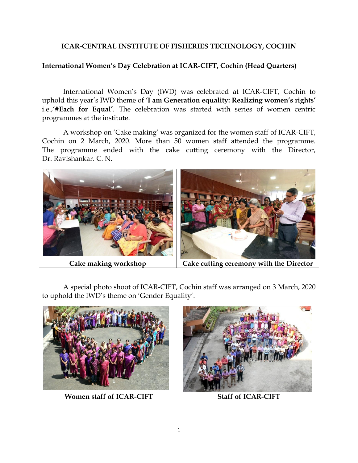# **ICAR-CENTRAL INSTITUTE OF FISHERIES TECHNOLOGY, COCHIN**

### **International Women's Day Celebration at ICAR-CIFT, Cochin (Head Quarters)**

International Women's Day (IWD) was celebrated at ICAR-CIFT, Cochin to uphold this year's IWD theme of **'I am Generation equality: Realizing women's rights'** i.e.,**'#Each for Equal'**. The celebration was started with series of women centric programmes at the institute.

A workshop on 'Cake making' was organized for the women staff of ICAR-CIFT, Cochin on 2 March, 2020. More than 50 women staff attended the programme. The programme ended with the cake cutting ceremony with the Director, Dr. Ravishankar. C. N.



A special photo shoot of ICAR-CIFT, Cochin staff was arranged on 3 March, 2020 to uphold the IWD's theme on 'Gender Equality'.

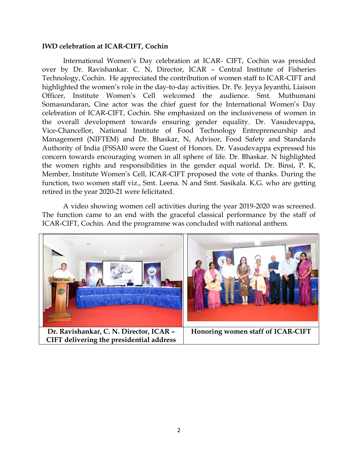#### **IWD celebration at ICAR-CIFT, Cochin**

International Women's Day celebration at ICAR- CIFT, Cochin was presided over by Dr. Ravishankar. C. N, Director, ICAR – Central Institute of Fisheries Technology, Cochin. He appreciated the contribution of women staff to ICAR-CIFT and highlighted the women's role in the day-to-day activities. Dr. Pe. Jeyya Jeyanthi, Liaison Officer, Institute Women's Cell welcomed the audience. Smt. Muthumani Somasundaran, Cine actor was the chief guest for the International Women's Day celebration of ICAR-CIFT, Cochin. She emphasized on the inclusiveness of women in the overall development towards ensuring gender equality. Dr. Vasudevappa, Vice-Chancellor, National Institute of Food Technology Entrepreneurship and Management (NIFTEM) and Dr. Bhaskar, N, Advisor, Food Safety and Standards Authority of India (FSSAI0 were the Guest of Honors. Dr. Vasudevappa expressed his concern towards encouraging women in all sphere of life. Dr. Bhaskar. N highlighted the women rights and responsibilities in the gender equal world. Dr. Binsi, P. K, Member, Institute Women's Cell, ICAR-CIFT proposed the vote of thanks. During the function, two women staff viz., Smt. Leena. N and Smt. Sasikala. K.G. who are getting retired in the year 2020-21 were felicitated.

A video showing women cell activities during the year 2019-2020 was screened. The function came to an end with the graceful classical performance by the staff of ICAR-CIFT, Cochin. And the programme was concluded with national anthem.

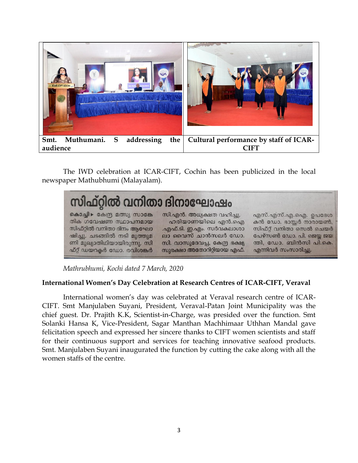

The IWD celebration at ICAR-CIFT, Cochin has been publicized in the local newspaper Mathubhumi (Malayalam).



*Mathrubhumi, Kochi dated 7 March, 2020*

# **International Women's Day Celebration at Research Centres of ICAR-CIFT, Veraval**

International women's day was celebrated at Veraval research centre of ICAR-CIFT. Smt Manjulaben Suyani, President, Veraval-Patan Joint Municipality was the chief guest. Dr. Prajith K.K, Scientist-in-Charge, was presided over the function. Smt Solanki Hansa K, Vice-President, Sagar Manthan Machhimaar Uthhan Mandal gave felicitation speech and expressed her sincere thanks to CIFT women scientists and staff for their continuous support and services for teaching innovative seafood products. Smt. Manjulaben Suyani inaugurated the function by cutting the cake along with all the women staffs of the centre.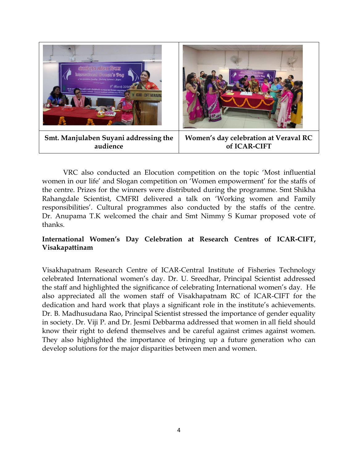

VRC also conducted an Elocution competition on the topic 'Most influential women in our life' and Slogan competition on 'Women empowerment' for the staffs of the centre. Prizes for the winners were distributed during the programme. Smt Shikha Rahangdale Scientist, CMFRI delivered a talk on 'Working women and Family responsibilities'. Cultural programmes also conducted by the staffs of the centre. Dr. Anupama T.K welcomed the chair and Smt Nimmy S Kumar proposed vote of thanks.

# **International Women's Day Celebration at Research Centres of ICAR-CIFT, Visakapattinam**

Visakhapatnam Research Centre of ICAR-Central Institute of Fisheries Technology celebrated International women's day. Dr. U. Sreedhar, Principal Scientist addressed the staff and highlighted the significance of celebrating International women's day. He also appreciated all the women staff of Visakhapatnam RC of ICAR-CIFT for the dedication and hard work that plays a significant role in the institute's achievements. Dr. B. Madhusudana Rao, Principal Scientist stressed the importance of gender equality in society. Dr. Viji P. and Dr. Jesmi Debbarma addressed that women in all field should know their right to defend themselves and be careful against crimes against women. They also highlighted the importance of bringing up a future generation who can develop solutions for the major disparities between men and women.